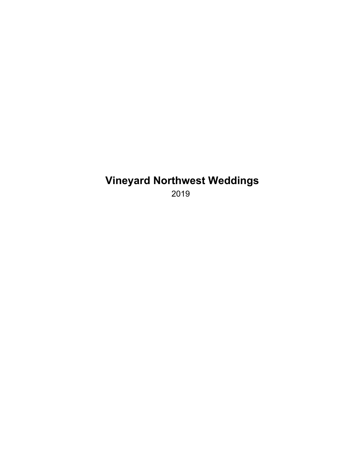# **Vineyard Northwest Weddings**

2019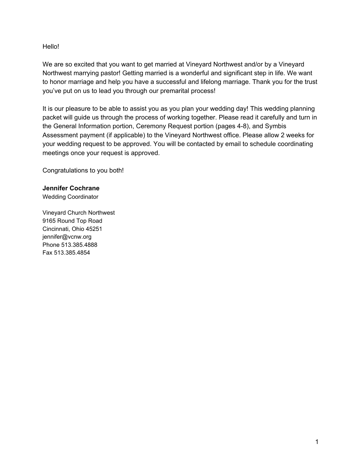Hello!

We are so excited that you want to get married at Vineyard Northwest and/or by a Vineyard Northwest marrying pastor! Getting married is a wonderful and significant step in life. We want to honor marriage and help you have a successful and lifelong marriage. Thank you for the trust you've put on us to lead you through our premarital process!

It is our pleasure to be able to assist you as you plan your wedding day! This wedding planning packet will guide us through the process of working together. Please read it carefully and turn in the General Information portion, Ceremony Request portion (pages 4-8), and Symbis Assessment payment (if applicable) to the Vineyard Northwest office. Please allow 2 weeks for your wedding request to be approved. You will be contacted by email to schedule coordinating meetings once your request is approved.

Congratulations to you both!

#### **Jennifer Cochrane**

Wedding Coordinator

Vineyard Church Northwest 9165 Round Top Road Cincinnati, Ohio 45251 jennifer@vcnw.org Phone 513.385.4888 Fax 513.385.4854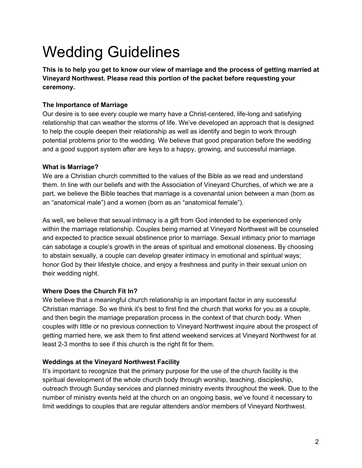# Wedding Guidelines

**This is to help you get to know our view of marriage and the process of getting married at Vineyard Northwest. Please read this portion of the packet before requesting your ceremony.**

### **The Importance of Marriage**

Our desire is to see every couple we marry have a Christ-centered, life-long and satisfying relationship that can weather the storms of life. We've developed an approach that is designed to help the couple deepen their relationship as well as identify and begin to work through potential problems prior to the wedding. We believe that good preparation before the wedding and a good support system after are keys to a happy, growing, and successful marriage.

### **What is Marriage?**

We are a Christian church committed to the values of the Bible as we read and understand them. In line with our beliefs and with the Association of Vineyard Churches, of which we are a part, we believe the Bible teaches that marriage is a covenantal union between a man (born as an "anatomical male") and a women (born as an "anatomical female").

As well, we believe that sexual intimacy is a gift from God intended to be experienced only within the marriage relationship. Couples being married at Vineyard Northwest will be counseled and expected to practice sexual abstinence prior to marriage. Sexual intimacy prior to marriage can sabotage a couple's growth in the areas of spiritual and emotional closeness. By choosing to abstain sexually, a couple can develop greater intimacy in emotional and spiritual ways; honor God by their lifestyle choice, and enjoy a freshness and purity in their sexual union on their wedding night.

### **Where Does the Church Fit In?**

We believe that a meaningful church relationship is an important factor in any successful Christian marriage. So we think it's best to first find the church that works for you as a couple, and then begin the marriage preparation process in the context of that church body. When couples with little or no previous connection to Vineyard Northwest inquire about the prospect of getting married here, we ask them to first attend weekend services at Vineyard Northwest for at least 2-3 months to see if this church is the right fit for them.

### **Weddings at the Vineyard Northwest Facility**

It's important to recognize that the primary purpose for the use of the church facility is the spiritual development of the whole church body through worship, teaching, discipleship, outreach through Sunday services and planned ministry events throughout the week. Due to the number of ministry events held at the church on an ongoing basis, we've found it necessary to limit weddings to couples that are regular attenders and/or members of Vineyard Northwest.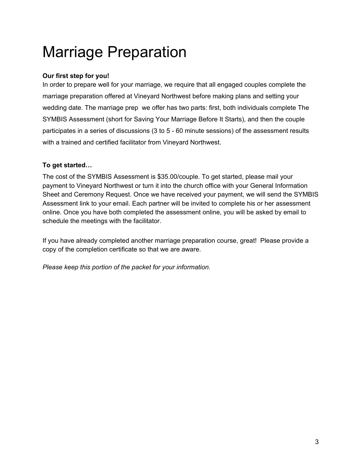# Marriage Preparation

# **Our first step for you!**

In order to prepare well for your marriage, we require that all engaged couples complete the marriage preparation offered at Vineyard Northwest before making plans and setting your wedding date. The marriage prep we offer has two parts: first, both individuals complete The SYMBIS Assessment (short for Saving Your Marriage Before It Starts), and then the couple participates in a series of discussions (3 to 5 - 60 minute sessions) of the assessment results with a trained and certified facilitator from Vineyard Northwest.

### **To get started…**

The cost of the SYMBIS Assessment is \$35.00/couple. To get started, please mail your payment to Vineyard Northwest or turn it into the church office with your General Information Sheet and Ceremony Request. Once we have received your payment, we will send the SYMBIS Assessment link to your email. Each partner will be invited to complete his or her assessment online. Once you have both completed the assessment online, you will be asked by email to schedule the meetings with the facilitator.

If you have already completed another marriage preparation course, great! Please provide a copy of the completion certificate so that we are aware.

*Please keep this portion of the packet for your information.*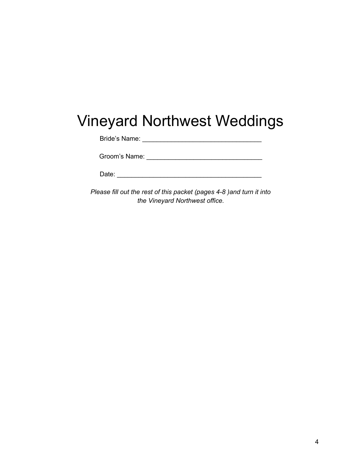# Vineyard Northwest Weddings

Bride's Name: \_\_\_\_\_\_\_\_\_\_\_\_\_\_\_\_\_\_\_\_\_\_\_\_\_\_\_\_\_\_\_\_\_

Groom's Name: \_\_\_\_\_\_\_\_\_\_\_\_\_\_\_\_\_\_\_\_\_\_\_\_\_\_\_\_\_\_\_\_

*Please fill out the rest of this packet (pages 4-8 )and turn it into the Vineyard Northwest office.*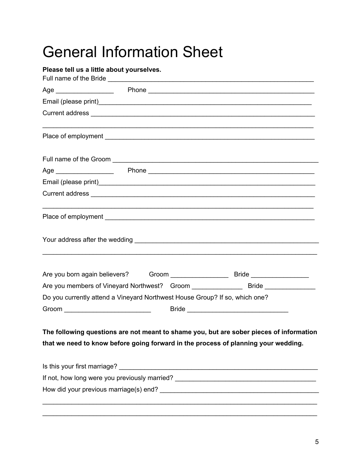# General Information Sheet

| Please tell us a little about yourselves.                                   |  |  |                                                                                                                 |  |
|-----------------------------------------------------------------------------|--|--|-----------------------------------------------------------------------------------------------------------------|--|
|                                                                             |  |  |                                                                                                                 |  |
|                                                                             |  |  |                                                                                                                 |  |
|                                                                             |  |  |                                                                                                                 |  |
|                                                                             |  |  |                                                                                                                 |  |
|                                                                             |  |  |                                                                                                                 |  |
|                                                                             |  |  |                                                                                                                 |  |
|                                                                             |  |  |                                                                                                                 |  |
|                                                                             |  |  | Current address experiences and a series of the contract of the contract of the contract of the contract of the |  |
|                                                                             |  |  |                                                                                                                 |  |
|                                                                             |  |  |                                                                                                                 |  |
|                                                                             |  |  |                                                                                                                 |  |
|                                                                             |  |  |                                                                                                                 |  |
| Do you currently attend a Vineyard Northwest House Group? If so, which one? |  |  |                                                                                                                 |  |
|                                                                             |  |  |                                                                                                                 |  |
|                                                                             |  |  | The following questions are not meant to shame you, but are sober pieces of information                         |  |
|                                                                             |  |  | that we need to know before going forward in the process of planning your wedding.                              |  |
|                                                                             |  |  |                                                                                                                 |  |
|                                                                             |  |  |                                                                                                                 |  |
|                                                                             |  |  |                                                                                                                 |  |
|                                                                             |  |  |                                                                                                                 |  |

\_\_\_\_\_\_\_\_\_\_\_\_\_\_\_\_\_\_\_\_\_\_\_\_\_\_\_\_\_\_\_\_\_\_\_\_\_\_\_\_\_\_\_\_\_\_\_\_\_\_\_\_\_\_\_\_\_\_\_\_\_\_\_\_\_\_\_\_\_\_\_\_\_\_\_\_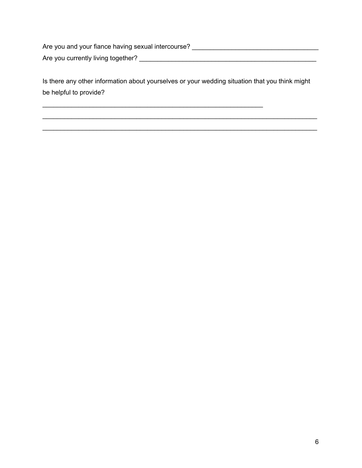Are you and your fiance having sexual intercourse? \_\_\_\_\_\_\_\_\_\_\_\_\_\_\_\_\_\_\_\_\_\_\_\_\_\_\_\_\_\_ Are you currently living together? \_\_\_\_\_\_\_\_\_\_\_\_\_\_\_\_\_\_\_\_\_\_\_\_\_\_\_\_\_\_\_\_\_\_\_\_\_\_\_\_\_\_\_\_\_\_\_\_\_

Is there any other information about yourselves or your wedding situation that you think might be helpful to provide?

\_\_\_\_\_\_\_\_\_\_\_\_\_\_\_\_\_\_\_\_\_\_\_\_\_\_\_\_\_\_\_\_\_\_\_\_\_\_\_\_\_\_\_\_\_\_\_\_\_\_\_\_\_\_\_\_\_\_\_\_\_\_\_\_\_\_\_\_\_\_\_\_\_\_\_\_ \_\_\_\_\_\_\_\_\_\_\_\_\_\_\_\_\_\_\_\_\_\_\_\_\_\_\_\_\_\_\_\_\_\_\_\_\_\_\_\_\_\_\_\_\_\_\_\_\_\_\_\_\_\_\_\_\_\_\_\_\_\_\_\_\_\_\_\_\_\_\_\_\_\_\_\_

\_\_\_\_\_\_\_\_\_\_\_\_\_\_\_\_\_\_\_\_\_\_\_\_\_\_\_\_\_\_\_\_\_\_\_\_\_\_\_\_\_\_\_\_\_\_\_\_\_\_\_\_\_\_\_\_\_\_\_\_\_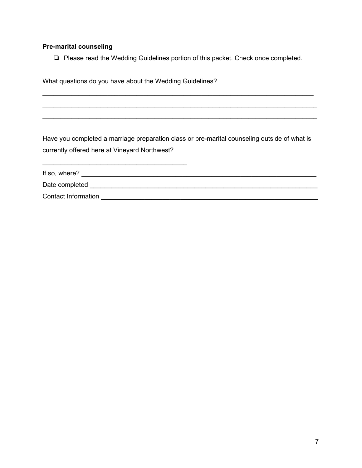## **Pre-marital counseling**

❏ Please read the Wedding Guidelines portion of this packet. Check once completed.

\_\_\_\_\_\_\_\_\_\_\_\_\_\_\_\_\_\_\_\_\_\_\_\_\_\_\_\_\_\_\_\_\_\_\_\_\_\_\_\_\_\_\_\_\_\_\_\_\_\_\_\_\_\_\_\_\_\_\_\_\_\_\_\_\_\_\_\_\_\_\_\_\_\_\_ \_\_\_\_\_\_\_\_\_\_\_\_\_\_\_\_\_\_\_\_\_\_\_\_\_\_\_\_\_\_\_\_\_\_\_\_\_\_\_\_\_\_\_\_\_\_\_\_\_\_\_\_\_\_\_\_\_\_\_\_\_\_\_\_\_\_\_\_\_\_\_\_\_\_\_\_ \_\_\_\_\_\_\_\_\_\_\_\_\_\_\_\_\_\_\_\_\_\_\_\_\_\_\_\_\_\_\_\_\_\_\_\_\_\_\_\_\_\_\_\_\_\_\_\_\_\_\_\_\_\_\_\_\_\_\_\_\_\_\_\_\_\_\_\_\_\_\_\_\_\_\_\_

What questions do you have about the Wedding Guidelines?

\_\_\_\_\_\_\_\_\_\_\_\_\_\_\_\_\_\_\_\_\_\_\_\_\_\_\_\_\_\_\_\_\_\_\_\_\_\_\_\_

Have you completed a marriage preparation class or pre-marital counseling outside of what is currently offered here at Vineyard Northwest?

| If so, where?       |  |
|---------------------|--|
| Date completed      |  |
| Contact Information |  |